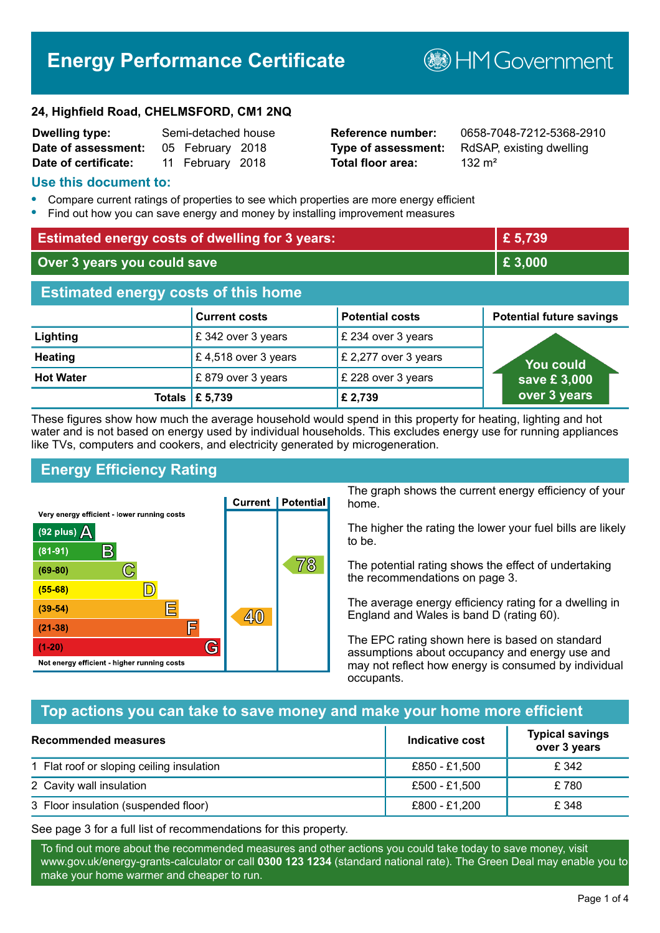# **Energy Performance Certificate**

**BHM Government** 

#### **24, Highfield Road, CHELMSFORD, CM1 2NQ**

| <b>Dwelling type:</b> | Semi-detached house |                  |  |
|-----------------------|---------------------|------------------|--|
| Date of assessment:   |                     | 05 February 2018 |  |
| Date of certificate:  |                     | 11 February 2018 |  |

# **Total floor area:** 132 m<sup>2</sup>

**Reference number:** 0658-7048-7212-5368-2910 **Type of assessment:** RdSAP, existing dwelling

#### **Use this document to:**

- **•** Compare current ratings of properties to see which properties are more energy efficient
- **•** Find out how you can save energy and money by installing improvement measures

| <b>Estimated energy costs of dwelling for 3 years:</b> |                      | £ 5,739                |                                 |
|--------------------------------------------------------|----------------------|------------------------|---------------------------------|
| Over 3 years you could save                            |                      | £ 3,000                |                                 |
| <b>Estimated energy costs of this home</b>             |                      |                        |                                 |
|                                                        | <b>Current costs</b> | <b>Potential costs</b> | <b>Potential future savings</b> |
| Lighting                                               | £342 over 3 years    | £ 234 over 3 years     |                                 |
| <b>Heating</b>                                         | £4,518 over 3 years  | £ 2,277 over 3 years   | You could                       |
| <b>Hot Water</b>                                       | £879 over 3 years    | £ 228 over 3 years     | save £3,000                     |
| Totals                                                 | £ 5,739              | £ 2,739                | over 3 years                    |

These figures show how much the average household would spend in this property for heating, lighting and hot water and is not based on energy used by individual households. This excludes energy use for running appliances like TVs, computers and cookers, and electricity generated by microgeneration.

# **Energy Efficiency Rating**



The graph shows the current energy efficiency of your home.

The higher the rating the lower your fuel bills are likely to be.

The potential rating shows the effect of undertaking the recommendations on page 3.

The average energy efficiency rating for a dwelling in England and Wales is band D (rating 60).

The EPC rating shown here is based on standard assumptions about occupancy and energy use and may not reflect how energy is consumed by individual occupants.

# **Top actions you can take to save money and make your home more efficient**

| <b>Recommended measures</b>               | Indicative cost | <b>Typical savings</b><br>over 3 years |
|-------------------------------------------|-----------------|----------------------------------------|
| 1 Flat roof or sloping ceiling insulation | £850 - £1,500   | £ 342                                  |
| 2 Cavity wall insulation                  | £500 - £1,500   | £780                                   |
| 3 Floor insulation (suspended floor)      | £800 - £1,200   | £348                                   |

See page 3 for a full list of recommendations for this property.

To find out more about the recommended measures and other actions you could take today to save money, visit www.gov.uk/energy-grants-calculator or call **0300 123 1234** (standard national rate). The Green Deal may enable you to make your home warmer and cheaper to run.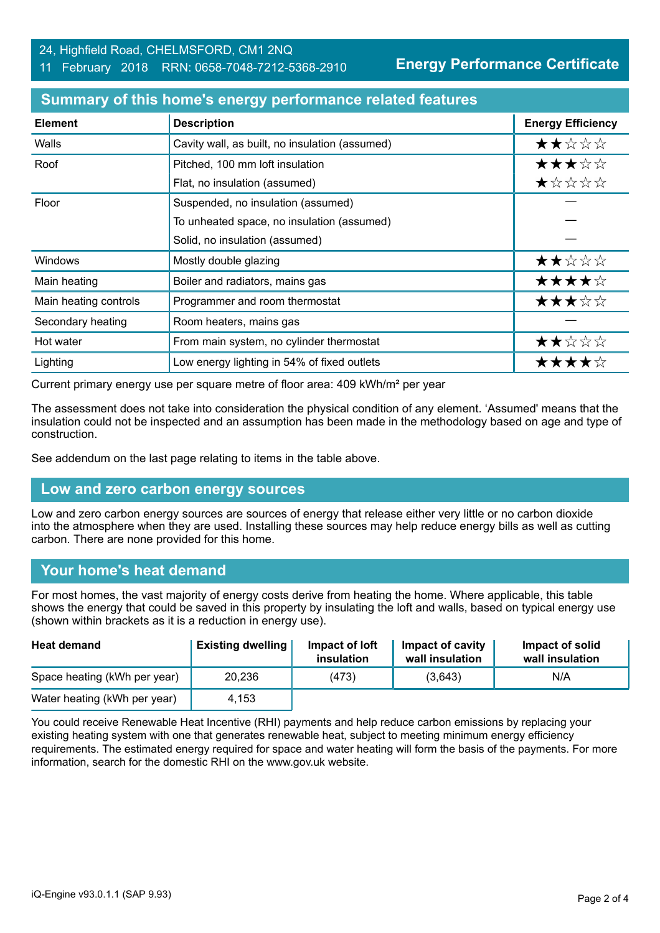# 24, Highfield Road, CHELMSFORD, CM1 2NQ

#### 11 February 2018 RRN: 0658-7048-7212-5368-2910

**Energy Performance Certificate**

| <b>Element</b>        | <b>Description</b>                             | <b>Energy Efficiency</b> |
|-----------------------|------------------------------------------------|--------------------------|
| Walls                 | Cavity wall, as built, no insulation (assumed) | ★★☆☆☆                    |
| Roof                  | Pitched, 100 mm loft insulation                | ★★★☆☆                    |
|                       | Flat, no insulation (assumed)                  | ★☆☆☆☆                    |
| Floor                 | Suspended, no insulation (assumed)             |                          |
|                       | To unheated space, no insulation (assumed)     |                          |
|                       | Solid, no insulation (assumed)                 |                          |
| Windows               | Mostly double glazing                          | ★★☆☆☆                    |
| Main heating          | Boiler and radiators, mains gas                | ★★★★☆                    |
| Main heating controls | Programmer and room thermostat                 | ★★★☆☆                    |
| Secondary heating     | Room heaters, mains gas                        |                          |
| Hot water             | From main system, no cylinder thermostat       | ★★☆☆☆                    |
| Lighting              | Low energy lighting in 54% of fixed outlets    | ★★★★☆                    |

#### **Summary of this home's energy performance related features**

Current primary energy use per square metre of floor area: 409 kWh/m² per year

The assessment does not take into consideration the physical condition of any element. 'Assumed' means that the insulation could not be inspected and an assumption has been made in the methodology based on age and type of construction.

See addendum on the last page relating to items in the table above.

# **Low and zero carbon energy sources**

Low and zero carbon energy sources are sources of energy that release either very little or no carbon dioxide into the atmosphere when they are used. Installing these sources may help reduce energy bills as well as cutting carbon. There are none provided for this home.

# **Your home's heat demand**

For most homes, the vast majority of energy costs derive from heating the home. Where applicable, this table shows the energy that could be saved in this property by insulating the loft and walls, based on typical energy use (shown within brackets as it is a reduction in energy use).

| <b>Heat demand</b>           | <b>Existing dwelling</b> | Impact of loft<br>insulation | Impact of cavity<br>wall insulation | Impact of solid<br>wall insulation |
|------------------------------|--------------------------|------------------------------|-------------------------------------|------------------------------------|
| Space heating (kWh per year) | 20,236                   | (473)                        | (3.643)                             | N/A                                |
| Water heating (kWh per year) | 4.153                    |                              |                                     |                                    |

You could receive Renewable Heat Incentive (RHI) payments and help reduce carbon emissions by replacing your existing heating system with one that generates renewable heat, subject to meeting minimum energy efficiency requirements. The estimated energy required for space and water heating will form the basis of the payments. For more information, search for the domestic RHI on the www.gov.uk website.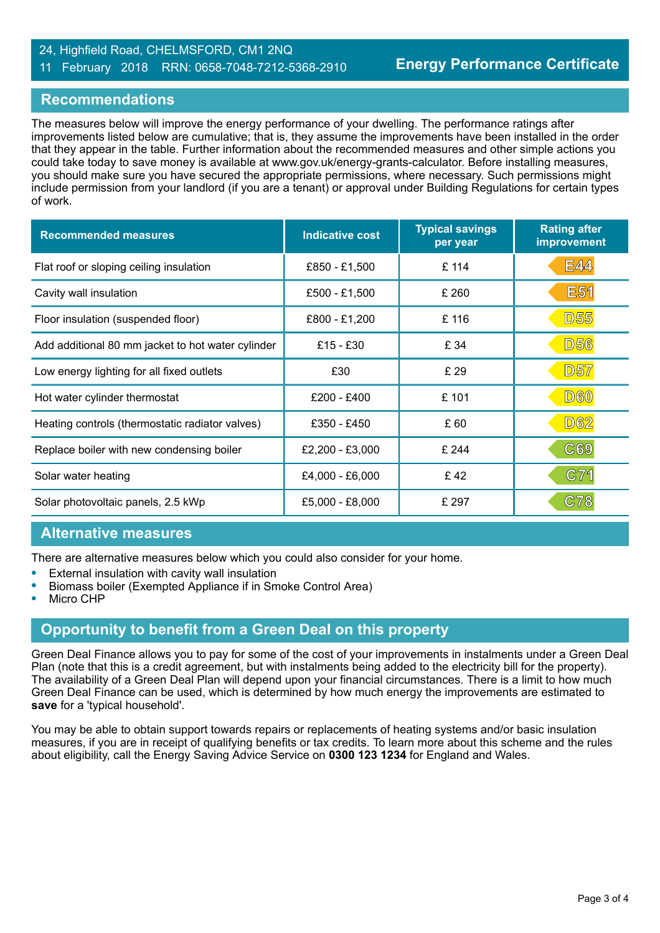#### 24, Highfield Road, CHELMSFORD, CM1 2NQ 11 February 2018 RRN: 0658-7048-7212-5368-2910

#### **Recommendations**

The measures below will improve the energy performance of your dwelling. The performance ratings after improvements listed below are cumulative; that is, they assume the improvements have been installed in the order that they appear in the table. Further information about the recommended measures and other simple actions you could take today to save money is available at www.gov.uk/energy-grants-calculator. Before installing measures, you should make sure you have secured the appropriate permissions, where necessary. Such permissions might include permission from your landlord (if you are a tenant) or approval under Building Regulations for certain types of work.

| <b>Recommended measures</b>                       | <b>Indicative cost</b> | <b>Typical savings</b><br>per year | <b>Rating after</b><br>improvement |
|---------------------------------------------------|------------------------|------------------------------------|------------------------------------|
| Flat roof or sloping ceiling insulation           | £850 - £1,500          | £ 114                              | <b>E44</b>                         |
| Cavity wall insulation                            | £500 - £1,500          | £ 260                              | E <sub>51</sub>                    |
| Floor insulation (suspended floor)                | £800 - £1,200          | £ 116                              | <b>D55</b>                         |
| Add additional 80 mm jacket to hot water cylinder | £15 - £30              | £ 34                               | <b>D56</b>                         |
| Low energy lighting for all fixed outlets         | £30                    | £ 29                               | <b>D57</b>                         |
| Hot water cylinder thermostat                     | £200 - £400            | £ 101                              | <b>D60</b>                         |
| Heating controls (thermostatic radiator valves)   | £350 - £450            | £ 60                               | <b>D62</b>                         |
| Replace boiler with new condensing boiler         | £2,200 - £3,000        | £ 244                              | C69                                |
| Solar water heating                               | £4,000 - £6,000        | £42                                | C71                                |
| Solar photovoltaic panels, 2.5 kWp                | £5,000 - £8,000        | £ 297                              | C78                                |

#### **Alternative measures**

There are alternative measures below which you could also consider for your home.

- **•** External insulation with cavity wall insulation
- **•** Biomass boiler (Exempted Appliance if in Smoke Control Area)
- **•** Micro CHP

# **Opportunity to benefit from a Green Deal on this property**

Green Deal Finance allows you to pay for some of the cost of your improvements in instalments under a Green Deal Plan (note that this is a credit agreement, but with instalments being added to the electricity bill for the property). The availability of a Green Deal Plan will depend upon your financial circumstances. There is a limit to how much Green Deal Finance can be used, which is determined by how much energy the improvements are estimated to **save** for a 'typical household'.

You may be able to obtain support towards repairs or replacements of heating systems and/or basic insulation measures, if you are in receipt of qualifying benefits or tax credits. To learn more about this scheme and the rules about eligibility, call the Energy Saving Advice Service on **0300 123 1234** for England and Wales.